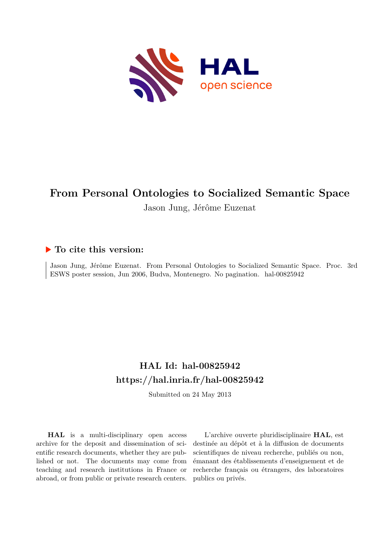

# **From Personal Ontologies to Socialized Semantic Space**

Jason Jung, Jérôme Euzenat

### **To cite this version:**

Jason Jung, Jérôme Euzenat. From Personal Ontologies to Socialized Semantic Space. Proc. 3rd ESWS poster session, Jun 2006, Budva, Montenegro. No pagination. hal-00825942

### **HAL Id: hal-00825942 <https://hal.inria.fr/hal-00825942>**

Submitted on 24 May 2013

**HAL** is a multi-disciplinary open access archive for the deposit and dissemination of scientific research documents, whether they are published or not. The documents may come from teaching and research institutions in France or abroad, or from public or private research centers.

L'archive ouverte pluridisciplinaire **HAL**, est destinée au dépôt et à la diffusion de documents scientifiques de niveau recherche, publiés ou non, émanant des établissements d'enseignement et de recherche français ou étrangers, des laboratoires publics ou privés.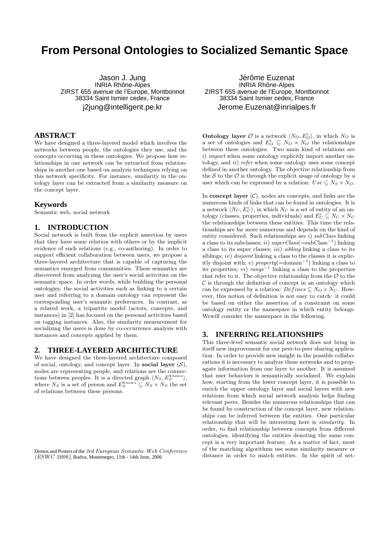## **From Personal Ontologies to Socialized Semantic Space**

Jason J. Jung INRIA Rhône-Alpes ZIRST 655 avenue de l'Europe, Montbonnot 38334 Saint Ismier cedex, France j2jung@intelligent.pe.kr

#### **ABSTRACT**

We have designed a three-layered model which involves the networks between people, the ontologies they use, and the concepts occurring in these ontologies. We propose how relationships in one network can be extracted from relationships in another one based on analysis techniques relying on this network specificity. For instance, similarity in the ontology layer can be extracted from a similarity measure on the concept layer.

#### **Keywords**

Semantic web, social network

#### **1. INTRODUCTION**

Social network is built from the explicit assertion by users that they have some relation with others or by the implicit evidence of such relations (e.g., co-authoring). In order to support efficient collaboration between users, we propose a three-layered architecture that is capable of capturing the semantics emerged from communities. These semantics are discovered from analyzing the user's social activities on the semantic space. In order words, while building the personal ontologies, the social activities such as linking to a certain user and referring to a domain ontology can represent the corresponding user's semantic preferences. In contrast, as a related work, a tripartite model (actors, concepts, and instances) in [2] has focused on the personal activities based on tagging instances. Also, the similarity measurement for socializing the users is done by co-occurrence analysis with instances and concepts applied by them.

#### **2. THREE-LAYERED ARCHITECTURE**

We have designed the three-layered architecture composed of social, ontology, and concept layer. In social layer  $(S)$ , nodes are representing people, and relations are the connections between peoples. It is a directed graph  $\langle N_S, E_S^{knows} \rangle$ , where  $N_S$  is a set of person and  $E_S^{knows} \subseteq N_S \times N_S$  the set of relations between these persons.

Demos and Posters of the 3rd European Semantic Web Conference  $(ESWC 2006)$ , Budva, Montenegro, 11th - 14th June, 2006

Jérôme Euzenat **INRIA Rhône-Alpes** ZIRST 655 avenue de l'Europe, Montbonnot 38334 Saint Ismier cedex, France Jerome.Euzenat@inrialpes.fr

**Ontology layer**  $\mathcal{O}$  is a network  $\langle N_O, E_O^i \rangle$ , in which  $N_O$  is a set of ontologies and  $E^i_O \subseteq N_O \times N_O$  the relationships between these ontologies. Two main kind of relations are i) import when some ontology explicitly import another ontology, and ii) refer when some ontology uses some concept defined in another ontology. The objective relationship from the  $S$  to the  $\mathcal O$  is through the explicit usage of ontology by a user which can be expressed by a relation:  $Use \subseteq N_S \times N_O$ .

In concept layer  $(C)$ , nodes are concepts, and links are the numerous kinds of links that can be found in ontologies. It is a network  $\langle N_C, E_C^i \rangle$ , in which  $N_C$  is a set of entity of an ontology (classes, properties, individuals) and  $E_C^i \subseteq N_C \times N_C$ the relationships between these entities. This time the relationships are far more numerous and depends on the kind of entity considered. Such relationships are i)  $subClass$  linking a class to its subclasses;  $ii) \ superClass(=\text{subClass}^{-1})$  linking a class to its super classes; iii) sibling linking a class to its siblings; *iv*) *disjoint* linking a class to the classes it is explicitly disjoint with; v)  $property(=domain^{-1})$  linking a class to its properties; vi)  $range^{-1}$  linking a class to the properties that refer to it. The objective relationship from the  $\mathcal O$  to the  $\mathcal C$  is through the definition of concept in an ontology which can be expressed by a relation:  $Defines \subseteq N_O \times N_C$ . However, this notion of definition is not easy to catch: it could be based on either the assertion of a constraint on some ontology entity or the namespace in which entity belongs. Wewill consider the namespace in the following.

#### **3. INFERRING RELATIONSHIPS**

This three-level semantic social network does not bring in itself new improvement for our peer-to-peer sharing application. In order to provide new insight in the possible collaborations it is necessary to analyze these networks and to propagate information from one layer to another. It is assumed that user behaviors is semantically socialized. We explain how, starting from the lower concept layer, it is possible to enrich the upper ontology layer and social layers with new relations from which social network analysis helps finding relevant peers. Besides the numerous relationships that can be found by construction of the concept layer, new relationships can be inferred between the entities. One particular relationship that will be interesting here is *similarity*. In order, to find relationship between concepts from different ontologies, identifying the entities denoting the same concept is a very important feature. As a matter of fact, most of the matching algorithms use some similarity measure or distance in order to match entities. In the spirit of net